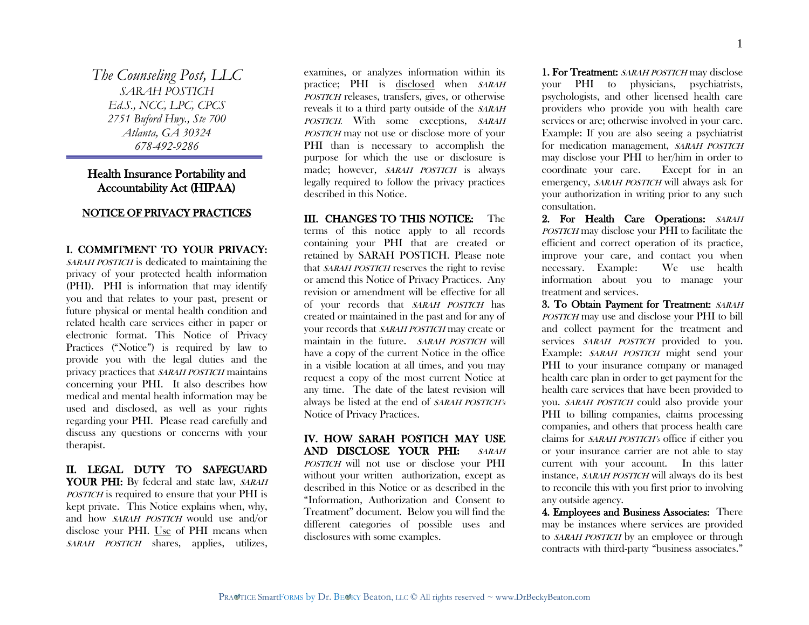*The Counseling Post, LLC SARAH POSTICH Ed.S., NCC, LPC, CPCS 2751 Buford Hwy., Ste 700 Atlanta, GA 30324 678-492-9286*

# Health Insurance Portability and Accountability Act (HIPAA)

# NOTICE OF PRIVACY PRACTICES

# I. COMMITMENT TO YOUR PRIVACY: SARAH POSTICH is dedicated to maintaining the privacy of your protected health information (PHI). PHI is information that may identify you and that relates to your past, present or future physical or mental health condition and related health care services either in paper or electronic format. This Notice of Privacy Practices ("Notice") is required by law to provide you with the legal duties and the privacy practices that SARAH POSTICH maintains concerning your PHI. It also describes how medical and mental health information may be used and disclosed, as well as your rights regarding your PHI. Please read carefully and discuss any questions or concerns with your therapist.

# II. LEGAL DUTY TO SAFEGUARD YOUR PHI: By federal and state law, SARAH POSTICH is required to ensure that your PHI is kept private. This Notice explains when, why, and how SARAH POSTICH would use and/or disclose your PHI. Use of PHI means when SARAH POSTICH shares, applies, utilizes,

examines, or analyzes information within its practice; PHI is disclosed when SARAH POSTICH releases, transfers, gives, or otherwise reveals it to a third party outside of the SARAH POSTICH. With some exceptions, SARAH POSTICH may not use or disclose more of your PHI than is necessary to accomplish the purpose for which the use or disclosure is made; however, SARAH POSTICH is always legally required to follow the privacy practices described in this Notice.

III. CHANGES TO THIS NOTICE: The terms of this notice apply to all records containing your PHI that are created or retained by SARAH POSTICH. Please note that SARAH POSTICH reserves the right to revise or amend this Notice of Privacy Practices. Any revision or amendment will be effective for all of your records that SARAH POSTICH has created or maintained in the past and for any of your records that SARAH POSTICH may create or maintain in the future. SARAH POSTICH will have a copy of the current Notice in the office in a visible location at all times, and you may request a copy of the most current Notice at any time. The date of the latest revision will always be listed at the end of SARAH POSTICH's Notice of Privacy Practices.

# IV. HOW SARAH POSTICH MAY USE AND DISCLOSE YOUR PHI: SARAH POSTICH will not use or disclose your PHI without your written authorization, except as described in this Notice or as described in the "Information, Authorization and Consent to Treatment" document. Below you will find the different categories of possible uses and disclosures with some examples.

1. For Treatment: SARAH POSTICH may disclose your PHI to physicians, psychiatrists, psychologists, and other licensed health care providers who provide you with health care services or are; otherwise involved in your care. Example: If you are also seeing a psychiatrist for medication management, SARAH POSTICH may disclose your PHI to her/him in order to coordinate your care. Except for in an emergency, SARAH POSTICH will always ask for your authorization in writing prior to any such consultation.

2. For Health Care Operations: SARAH POSTICH may disclose your PHI to facilitate the efficient and correct operation of its practice, improve your care, and contact you when necessary. Example: We use health information about you to manage your treatment and services.

3. To Obtain Payment for Treatment: SARAH POSTICH may use and disclose your PHI to bill and collect payment for the treatment and services SARAH POSTICH provided to you. Example: SARAH POSTICH might send your PHI to your insurance company or managed health care plan in order to get payment for the health care services that have been provided to you. SARAH POSTICH could also provide your PHI to billing companies, claims processing companies, and others that process health care claims for SARAH POSTICH's office if either you or your insurance carrier are not able to stay current with your account. In this latter instance, SARAH POSTICH will always do its best to reconcile this with you first prior to involving any outside agency.

4. Employees and Business Associates: There may be instances where services are provided to *SARAH POSTICH* by an employee or through contracts with third-party "business associates."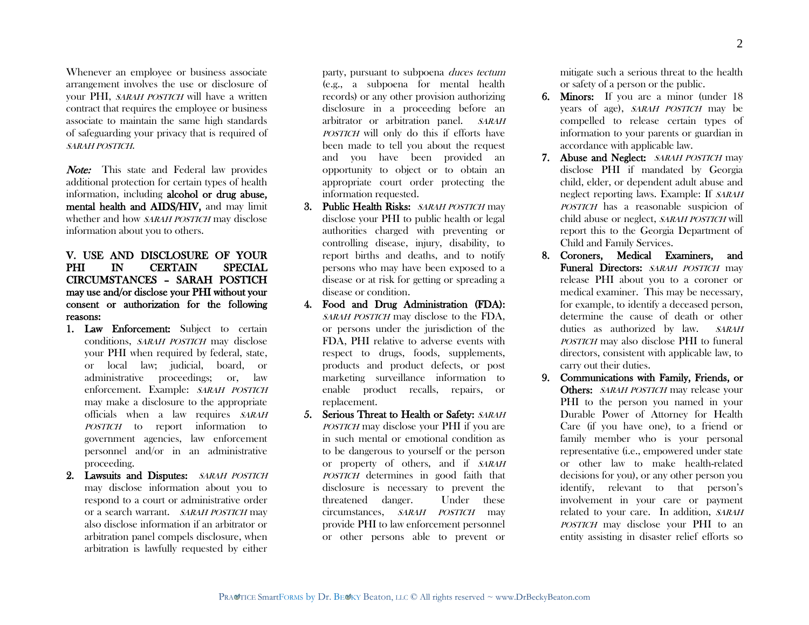Whenever an employee or business associate arrangement involves the use or disclosure of your PHI, *SARAH POSTICH* will have a written contract that requires the employee or business associate to maintain the same high standards of safeguarding your privacy that is required of SARAH POSTICH.

Note: This state and Federal law provides additional protection for certain types of health information, including alcohol or drug abuse, mental health and AIDS/HIV, and may limit whether and how SARAH POSTICH may disclose information about you to others.

## V. USE AND DISCLOSURE OF YOUR PHI IN CERTAIN SPECIAL CIRCUMSTANCES – SARAH POSTICH may use and/or disclose your PHI without your consent or authorization for the following reasons:

- 1. Law Enforcement: Subject to certain conditions, SARAH POSTICH may disclose your PHI when required by federal, state, or local law; judicial, board, or administrative proceedings; or, law enforcement. Example: SARAH POSTICH may make a disclosure to the appropriate officials when a law requires SARAH POSTICH to report information to government agencies, law enforcement personnel and/or in an administrative proceeding.
- 2. Lawsuits and Disputes: SARAH POSTICH may disclose information about you to respond to a court or administrative order or a search warrant. SARAH POSTICH may also disclose information if an arbitrator or arbitration panel compels disclosure, when arbitration is lawfully requested by either

party, pursuant to subpoena duces tectum (e.g., a subpoena for mental health records) or any other provision authorizing disclosure in a proceeding before an arbitrator or arbitration panel. SARAH POSTICH will only do this if efforts have been made to tell you about the request and you have been provided an opportunity to object or to obtain an appropriate court order protecting the information requested.

- 3. Public Health Risks: SARAH POSTICH may disclose your PHI to public health or legal authorities charged with preventing or controlling disease, injury, disability, to report births and deaths, and to notify persons who may have been exposed to a disease or at risk for getting or spreading a disease or condition.
- 4. Food and Drug Administration (FDA): SARAH POSTICH may disclose to the FDA, or persons under the jurisdiction of the FDA, PHI relative to adverse events with respect to drugs, foods, supplements, products and product defects, or post marketing surveillance information to enable product recalls, repairs, or replacement.
- 5. Serious Threat to Health or Safety: SARAH POSTICH may disclose your PHI if you are in such mental or emotional condition as to be dangerous to yourself or the person or property of others, and if SARAH POSTICH determines in good faith that disclosure is necessary to prevent the threatened danger. Under these circumstances, SARAH POSTICH may provide PHI to law enforcement personnel or other persons able to prevent or

mitigate such a serious threat to the health or safety of a person or the public.

- 6. Minors: If you are a minor (under 18 years of age), SARAH POSTICH may be compelled to release certain types of information to your parents or guardian in accordance with applicable law.
- 7. Abuse and Neglect: SARAH POSTICH may disclose PHI if mandated by Georgia child, elder, or dependent adult abuse and neglect reporting laws. Example: If SARAH POSTICH has a reasonable suspicion of child abuse or neglect, SARAH POSTICH will report this to the Georgia Department of Child and Family Services.
- 8. Coroners, Medical Examiners, and Funeral Directors: SARAH POSTICH may release PHI about you to a coroner or medical examiner. This may be necessary, for example, to identify a deceased person, determine the cause of death or other duties as authorized by law. SARAH POSTICH may also disclose PHI to funeral directors, consistent with applicable law, to carry out their duties.
- 9. Communications with Family, Friends, or Others: SARAH POSTICH may release your PHI to the person you named in your Durable Power of Attorney for Health Care (if you have one), to a friend or family member who is your personal representative (i.e., empowered under state or other law to make health-related decisions for you), or any other person you identify, relevant to that person's involvement in your care or payment related to your care. In addition, SARAH POSTICH may disclose your PHI to an entity assisting in disaster relief efforts so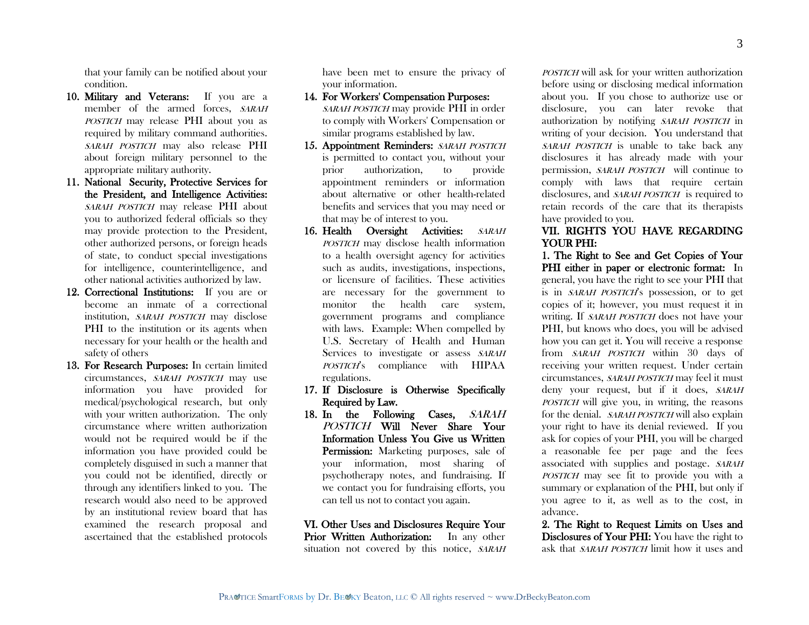that your family can be notified about your condition.

- 10. Military and Veterans: If you are a member of the armed forces. SARAH POSTICH may release PHI about you as required by military command authorities. SARAH POSTICH may also release PHI about foreign military personnel to the appropriate military authority.
- 11. National Security, Protective Services for the President, and Intelligence Activities: SARAH POSTICH may release PHI about you to authorized federal officials so they may provide protection to the President, other authorized persons, or foreign heads of state, to conduct special investigations for intelligence, counterintelligence, and other national activities authorized by law.
- 12. Correctional Institutions: If you are or become an inmate of a correctional institution, SARAH POSTICH may disclose PHI to the institution or its agents when necessary for your health or the health and safety of others
- 13. For Research Purposes: In certain limited circumstances, SARAH POSTICH may use information you have provided for medical/psychological research, but only with your written authorization. The only circumstance where written authorization would not be required would be if the information you have provided could be completely disguised in such a manner that you could not be identified, directly or through any identifiers linked to you. The research would also need to be approved by an institutional review board that has examined the research proposal and ascertained that the established protocols

have been met to ensure the privacy of your information.

- 14. For Workers' Compensation Purposes: SARAH POSTICH may provide PHI in order to comply with Workers' Compensation or similar programs established by law.
- 15. Appointment Reminders: SARAH POSTICH is permitted to contact you, without your prior authorization, to provide appointment reminders or information about alternative or other health-related benefits and services that you may need or that may be of interest to you.
- 16. Health Oversight Activities: SARAH POSTICH may disclose health information to a health oversight agency for activities such as audits, investigations, inspections, or licensure of facilities. These activities are necessary for the government to monitor the health care system, government programs and compliance with laws. Example: When compelled by U.S. Secretary of Health and Human Services to investigate or assess SARAH POSTICH's compliance with HIPAA regulations.
- 17. If Disclosure is Otherwise Specifically Required by Law.
- 18. In the Following Cases, SARAH POSTICH Will Never Share Your Information Unless You Give us Written Permission: Marketing purposes, sale of your information, most sharing of psychotherapy notes, and fundraising. If we contact you for fundraising efforts, you can tell us not to contact you again.

VI. Other Uses and Disclosures Require Your Prior Written Authorization: In any other situation not covered by this notice, SARAH

POSTICH will ask for your written authorization before using or disclosing medical information about you. If you chose to authorize use or disclosure, you can later revoke that authorization by notifying SARAH POSTICH in writing of your decision. You understand that SARAH POSTICH is unable to take back any disclosures it has already made with your permission, SARAH POSTICH will continue to comply with laws that require certain disclosures, and *SARAH POSTICH* is required to retain records of the care that its therapists have provided to you.

### VII. RIGHTS YOU HAVE REGARDING YOUR PHI:

1. The Right to See and Get Copies of Your PHI either in paper or electronic format: In general, you have the right to see your PHI that is in SARAH POSTICH's possession, or to get copies of it; however, you must request it in writing. If *SARAH POSTICH* does not have your PHI, but knows who does, you will be advised how you can get it. You will receive a response from *SARAH POSTICH* within 30 days of receiving your written request. Under certain circumstances, SARAH POSTICH may feel it must deny your request, but if it does, SARAH POSTICH will give you, in writing, the reasons for the denial. SARAH POSTICH will also explain your right to have its denial reviewed. If you ask for copies of your PHI, you will be charged a reasonable fee per page and the fees associated with supplies and postage. SARAH POSTICH may see fit to provide you with a summary or explanation of the PHI, but only if you agree to it, as well as to the cost, in advance.

2. The Right to Request Limits on Uses and Disclosures of Your PHI: You have the right to ask that *SARAH POSTICH* limit how it uses and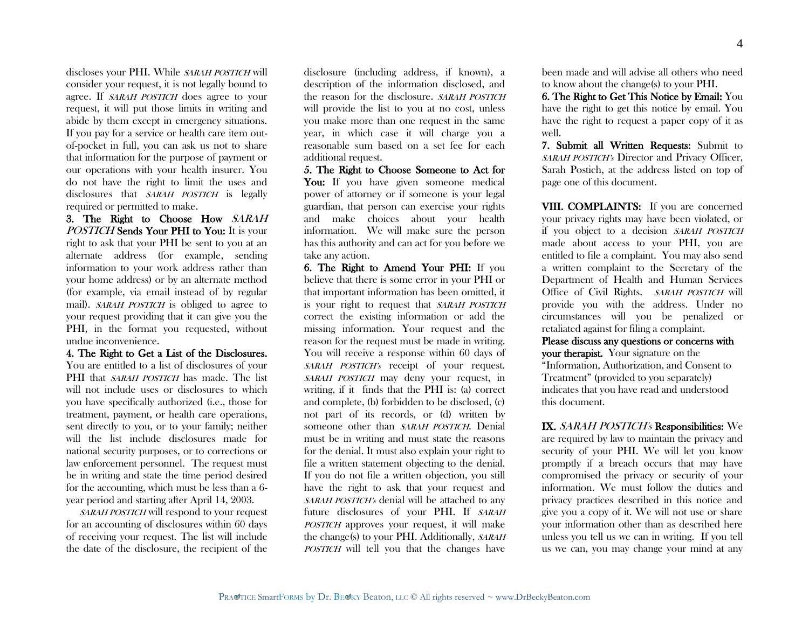discloses your PHI. While SARAH POSTICH will consider your request, it is not legally bound to agree. If SARAH POSTICH does agree to your request, it will put those limits in writing and abide by them except in emergency situations. If you pay for a service or health care item outof-pocket in full, you can ask us not to share that information for the purpose of payment or our operations with your health insurer. You do not have the right to limit the uses and disclosures that *SARAH POSTICH* is legally required or permitted to make.

3. The Right to Choose How SARAH POSTICH Sends Your PHI to You: It is your right to ask that your PHI be sent to you at an alternate address (for example, sending information to your work address rather than your home address) or by an alternate method (for example, via email instead of by regular mail). *SARAH POSTICH* is obliged to agree to your request providing that it can give you the PHI, in the format you requested, without undue inconvenience.

4. The Right to Get a List of the Disclosures. You are entitled to a list of disclosures of your PHI that *SARAH POSTICH* has made. The list will not include uses or disclosures to which you have specifically authorized (i.e., those for treatment, payment, or health care operations, sent directly to you, or to your family; neither will the list include disclosures made for national security purposes, or to corrections or law enforcement personnel. The request must be in writing and state the time period desired for the accounting, which must be less than a 6 year period and starting after April 14, 2003.

SARAH POSTICH will respond to your request for an accounting of disclosures within 60 days of receiving your request. The list will include the date of the disclosure, the recipient of the

disclosure (including address, if known), a description of the information disclosed, and the reason for the disclosure. SARAH POSTICH will provide the list to you at no cost, unless you make more than one request in the same year, in which case it will charge you a reasonable sum based on a set fee for each additional request.

5. The Right to Choose Someone to Act for You: If you have given someone medical power of attorney or if someone is your legal guardian, that person can exercise your rights and make choices about your health information. We will make sure the person has this authority and can act for you before we take any action.

6. The Right to Amend Your PHI: If you believe that there is some error in your PHI or that important information has been omitted, it is your right to request that SARAH POSTICH correct the existing information or add the missing information. Your request and the reason for the request must be made in writing. You will receive a response within 60 days of SARAH POSTICH's receipt of your request. SARAH POSTICH may deny your request, in writing, if it finds that the PHI is: (a) correct and complete, (b) forbidden to be disclosed, (c) not part of its records, or (d) written by someone other than SARAH POSTICH. Denial must be in writing and must state the reasons for the denial. It must also explain your right to file a written statement objecting to the denial. If you do not file a written objection, you still have the right to ask that your request and SARAH POSTICH's denial will be attached to any future disclosures of your PHI. If SARAH POSTICH approves your request, it will make the change(s) to your PHI. Additionally, SARAH POSTICH will tell you that the changes have

been made and will advise all others who need to know about the change(s) to your PHI.

6. The Right to Get This Notice by Email: You have the right to get this notice by email. You have the right to request a paper copy of it as well.

7. Submit all Written Requests: Submit to SARAH POSTICH's Director and Privacy Officer. Sarah Postich, at the address listed on top of page one of this document.

VIII. COMPLAINTS: If you are concerned your privacy rights may have been violated, or if you object to a decision SARAH POSTICH made about access to your PHI, you are entitled to file a complaint. You may also send a written complaint to the Secretary of the Department of Health and Human Services Office of Civil Rights. SARAH POSTICH will provide you with the address. Under no circumstances will you be penalized or retaliated against for filing a complaint.

Please discuss any questions or concerns with your therapist. Your signature on the "Information, Authorization, and Consent to Treatment" (provided to you separately) indicates that you have read and understood this document.

IX. SARAH POSTICH's Responsibilities: We are required by law to maintain the privacy and security of your PHI. We will let you know promptly if a breach occurs that may have compromised the privacy or security of your information. We must follow the duties and privacy practices described in this notice and give you a copy of it. We will not use or share your information other than as described here unless you tell us we can in writing. If you tell us we can, you may change your mind at any